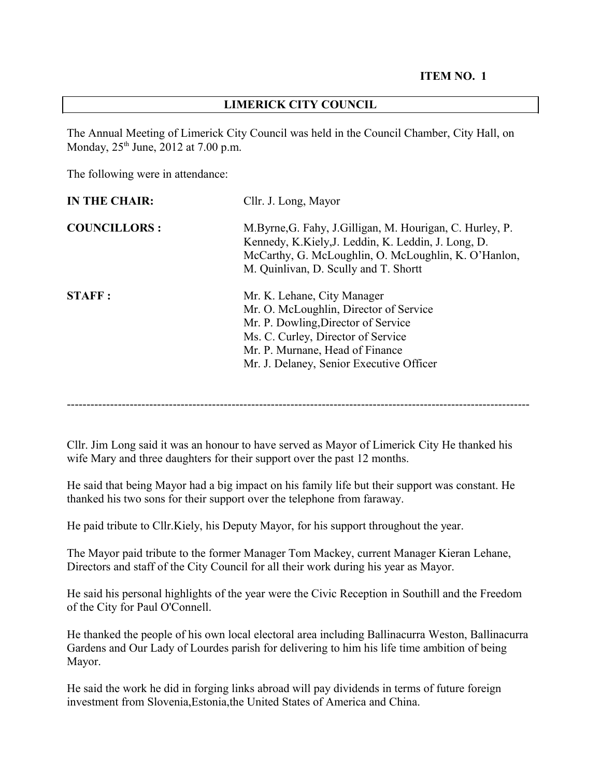#### **LIMERICK CITY COUNCIL**

The Annual Meeting of Limerick City Council was held in the Council Chamber, City Hall, on Monday, 25<sup>th</sup> June, 2012 at 7.00 p.m.

The following were in attendance:

| <b>IN THE CHAIR:</b> | Cllr. J. Long, Mayor                                                                                                                                                                                                              |
|----------------------|-----------------------------------------------------------------------------------------------------------------------------------------------------------------------------------------------------------------------------------|
| <b>COUNCILLORS:</b>  | M.Byrne, G. Fahy, J.Gilligan, M. Hourigan, C. Hurley, P.<br>Kennedy, K.Kiely, J. Leddin, K. Leddin, J. Long, D.<br>McCarthy, G. McLoughlin, O. McLoughlin, K. O'Hanlon,<br>M. Quinlivan, D. Scully and T. Shortt                  |
| <b>STAFF:</b>        | Mr. K. Lehane, City Manager<br>Mr. O. McLoughlin, Director of Service<br>Mr. P. Dowling, Director of Service<br>Ms. C. Curley, Director of Service<br>Mr. P. Murnane, Head of Finance<br>Mr. J. Delaney, Senior Executive Officer |

----------------------------------------------------------------------------------------------------------------------

Cllr. Jim Long said it was an honour to have served as Mayor of Limerick City He thanked his wife Mary and three daughters for their support over the past 12 months.

He said that being Mayor had a big impact on his family life but their support was constant. He thanked his two sons for their support over the telephone from faraway.

He paid tribute to Cllr.Kiely, his Deputy Mayor, for his support throughout the year.

The Mayor paid tribute to the former Manager Tom Mackey, current Manager Kieran Lehane, Directors and staff of the City Council for all their work during his year as Mayor.

He said his personal highlights of the year were the Civic Reception in Southill and the Freedom of the City for Paul O'Connell.

He thanked the people of his own local electoral area including Ballinacurra Weston, Ballinacurra Gardens and Our Lady of Lourdes parish for delivering to him his life time ambition of being Mayor.

He said the work he did in forging links abroad will pay dividends in terms of future foreign investment from Slovenia,Estonia,the United States of America and China.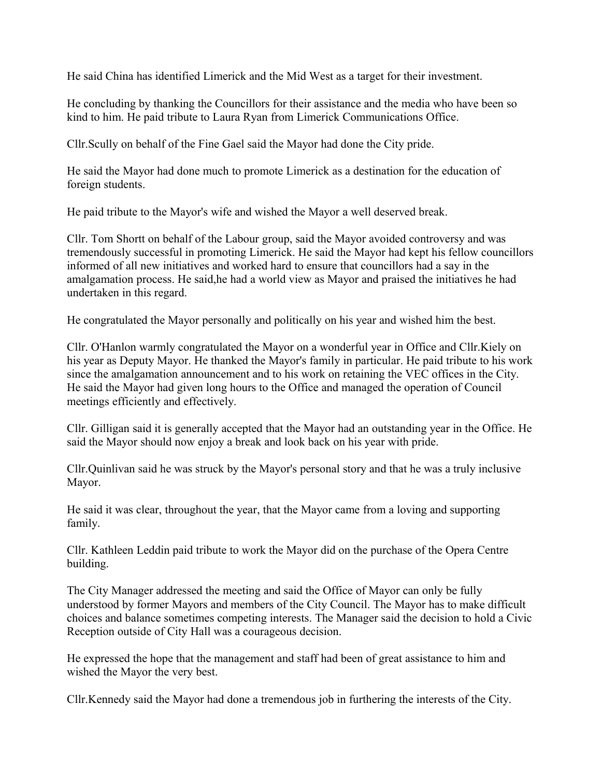He said China has identified Limerick and the Mid West as a target for their investment.

He concluding by thanking the Councillors for their assistance and the media who have been so kind to him. He paid tribute to Laura Ryan from Limerick Communications Office.

Cllr.Scully on behalf of the Fine Gael said the Mayor had done the City pride.

He said the Mayor had done much to promote Limerick as a destination for the education of foreign students.

He paid tribute to the Mayor's wife and wished the Mayor a well deserved break.

Cllr. Tom Shortt on behalf of the Labour group, said the Mayor avoided controversy and was tremendously successful in promoting Limerick. He said the Mayor had kept his fellow councillors informed of all new initiatives and worked hard to ensure that councillors had a say in the amalgamation process. He said,he had a world view as Mayor and praised the initiatives he had undertaken in this regard.

He congratulated the Mayor personally and politically on his year and wished him the best.

Cllr. O'Hanlon warmly congratulated the Mayor on a wonderful year in Office and Cllr.Kiely on his year as Deputy Mayor. He thanked the Mayor's family in particular. He paid tribute to his work since the amalgamation announcement and to his work on retaining the VEC offices in the City. He said the Mayor had given long hours to the Office and managed the operation of Council meetings efficiently and effectively.

Cllr. Gilligan said it is generally accepted that the Mayor had an outstanding year in the Office. He said the Mayor should now enjoy a break and look back on his year with pride.

Cllr.Quinlivan said he was struck by the Mayor's personal story and that he was a truly inclusive Mayor.

He said it was clear, throughout the year, that the Mayor came from a loving and supporting family.

Cllr. Kathleen Leddin paid tribute to work the Mayor did on the purchase of the Opera Centre building.

The City Manager addressed the meeting and said the Office of Mayor can only be fully understood by former Mayors and members of the City Council. The Mayor has to make difficult choices and balance sometimes competing interests. The Manager said the decision to hold a Civic Reception outside of City Hall was a courageous decision.

He expressed the hope that the management and staff had been of great assistance to him and wished the Mayor the very best.

Cllr.Kennedy said the Mayor had done a tremendous job in furthering the interests of the City.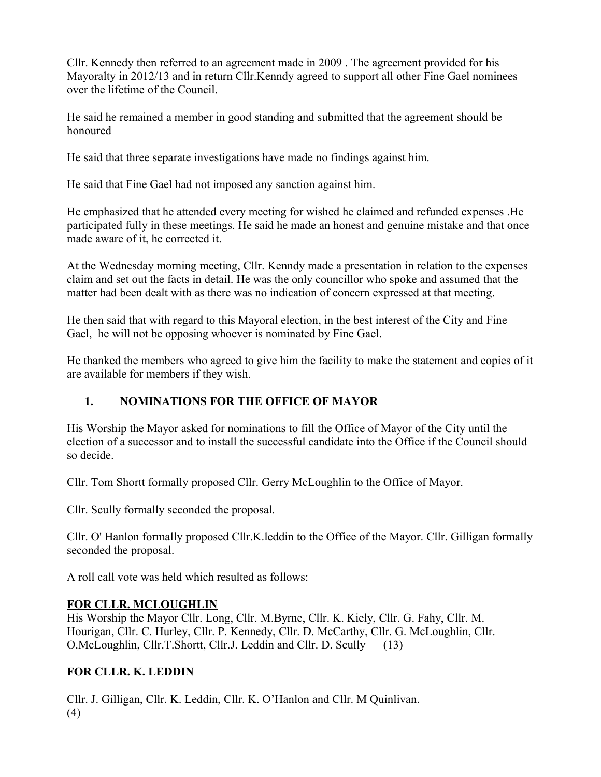Cllr. Kennedy then referred to an agreement made in 2009 . The agreement provided for his Mayoralty in 2012/13 and in return Cllr.Kenndy agreed to support all other Fine Gael nominees over the lifetime of the Council.

He said he remained a member in good standing and submitted that the agreement should be honoured

He said that three separate investigations have made no findings against him.

He said that Fine Gael had not imposed any sanction against him.

He emphasized that he attended every meeting for wished he claimed and refunded expenses .He participated fully in these meetings. He said he made an honest and genuine mistake and that once made aware of it, he corrected it.

At the Wednesday morning meeting, Cllr. Kenndy made a presentation in relation to the expenses claim and set out the facts in detail. He was the only councillor who spoke and assumed that the matter had been dealt with as there was no indication of concern expressed at that meeting.

He then said that with regard to this Mayoral election, in the best interest of the City and Fine Gael, he will not be opposing whoever is nominated by Fine Gael.

He thanked the members who agreed to give him the facility to make the statement and copies of it are available for members if they wish.

# **1. NOMINATIONS FOR THE OFFICE OF MAYOR**

His Worship the Mayor asked for nominations to fill the Office of Mayor of the City until the election of a successor and to install the successful candidate into the Office if the Council should so decide.

Cllr. Tom Shortt formally proposed Cllr. Gerry McLoughlin to the Office of Mayor.

Cllr. Scully formally seconded the proposal.

Cllr. O' Hanlon formally proposed Cllr.K.leddin to the Office of the Mayor. Cllr. Gilligan formally seconded the proposal.

A roll call vote was held which resulted as follows:

### **FOR CLLR. MCLOUGHLIN**

His Worship the Mayor Cllr. Long, Cllr. M.Byrne, Cllr. K. Kiely, Cllr. G. Fahy, Cllr. M. Hourigan, Cllr. C. Hurley, Cllr. P. Kennedy, Cllr. D. McCarthy, Cllr. G. McLoughlin, Cllr. O.McLoughlin, Cllr.T.Shortt, Cllr.J. Leddin and Cllr. D. Scully (13)

# **FOR CLLR. K. LEDDIN**

Cllr. J. Gilligan, Cllr. K. Leddin, Cllr. K. O'Hanlon and Cllr. M Quinlivan. (4)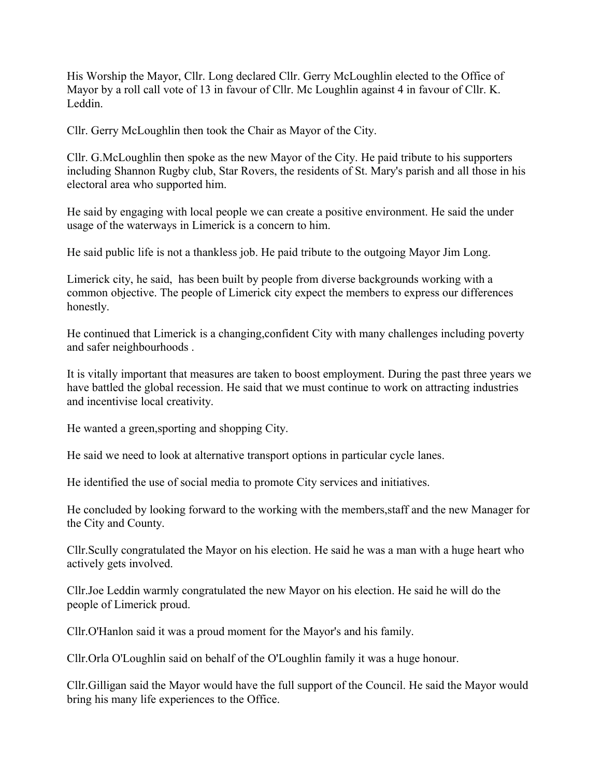His Worship the Mayor, Cllr. Long declared Cllr. Gerry McLoughlin elected to the Office of Mayor by a roll call vote of 13 in favour of Cllr. Mc Loughlin against 4 in favour of Cllr. K. Leddin.

Cllr. Gerry McLoughlin then took the Chair as Mayor of the City.

Cllr. G.McLoughlin then spoke as the new Mayor of the City. He paid tribute to his supporters including Shannon Rugby club, Star Rovers, the residents of St. Mary's parish and all those in his electoral area who supported him.

He said by engaging with local people we can create a positive environment. He said the under usage of the waterways in Limerick is a concern to him.

He said public life is not a thankless job. He paid tribute to the outgoing Mayor Jim Long.

Limerick city, he said, has been built by people from diverse backgrounds working with a common objective. The people of Limerick city expect the members to express our differences honestly.

He continued that Limerick is a changing,confident City with many challenges including poverty and safer neighbourhoods .

It is vitally important that measures are taken to boost employment. During the past three years we have battled the global recession. He said that we must continue to work on attracting industries and incentivise local creativity.

He wanted a green,sporting and shopping City.

He said we need to look at alternative transport options in particular cycle lanes.

He identified the use of social media to promote City services and initiatives.

He concluded by looking forward to the working with the members,staff and the new Manager for the City and County.

Cllr.Scully congratulated the Mayor on his election. He said he was a man with a huge heart who actively gets involved.

Cllr.Joe Leddin warmly congratulated the new Mayor on his election. He said he will do the people of Limerick proud.

Cllr.O'Hanlon said it was a proud moment for the Mayor's and his family.

Cllr.Orla O'Loughlin said on behalf of the O'Loughlin family it was a huge honour.

Cllr.Gilligan said the Mayor would have the full support of the Council. He said the Mayor would bring his many life experiences to the Office.